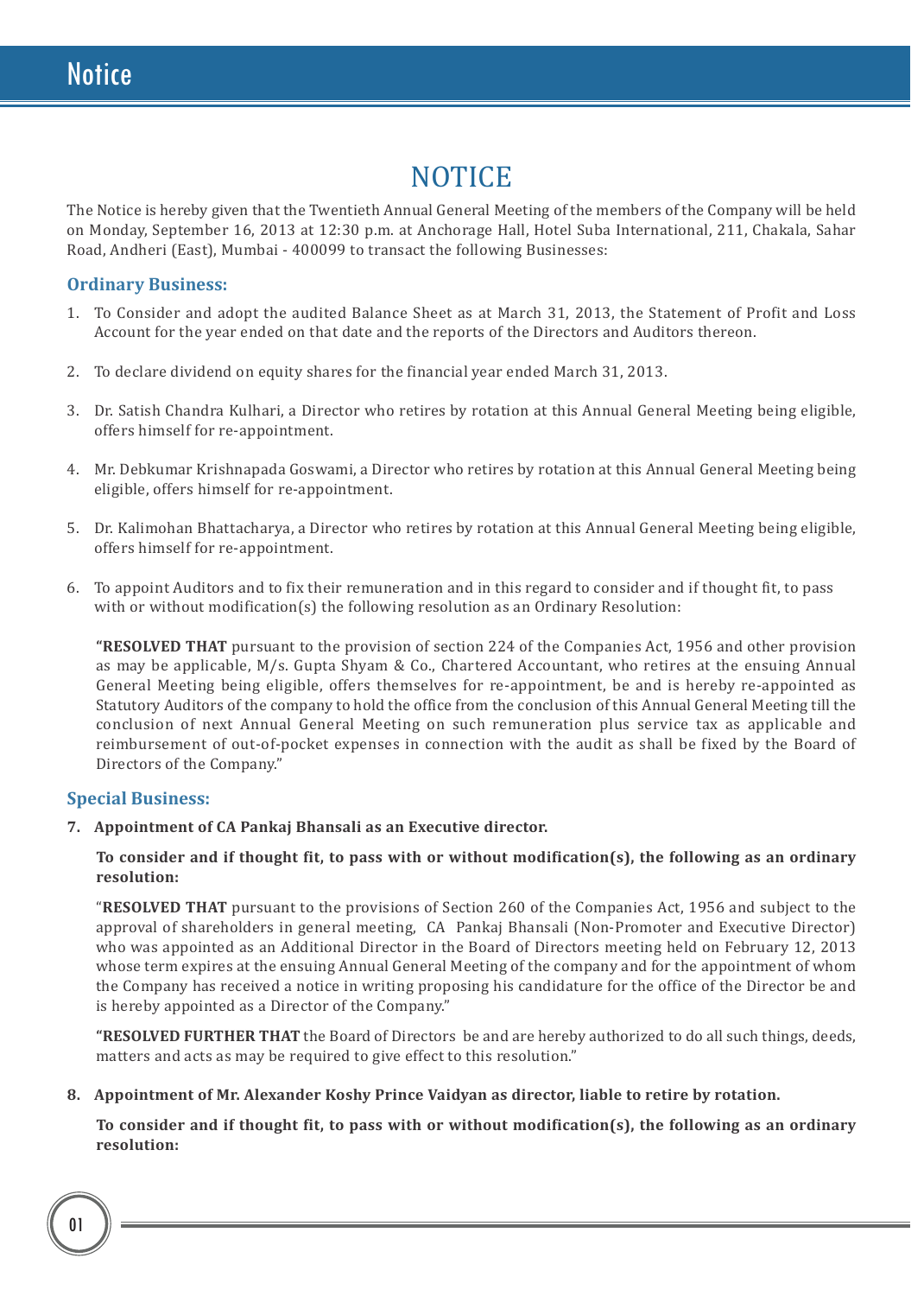# **NOTICE**

The Notice is hereby given that the Twentieth Annual General Meeting of the members of the Company will be held on Monday, September 16, 2013 at 12:30 p.m. at Anchorage Hall, Hotel Suba International, 211, Chakala, Sahar Road, Andheri (East), Mumbai - 400099 to transact the following Businesses:

## **Ordinary Business:**

- 1. To Consider and adopt the audited Balance Sheet as at March 31, 2013, the Statement of Profit and Loss Account for the year ended on that date and the reports of the Directors and Auditors thereon.
- 2. To declare dividend on equity shares for the financial year ended March 31, 2013.
- 3. Dr. Satish Chandra Kulhari, a Director who retires by rotation at this Annual General Meeting being eligible, offers himself for re-appointment.
- 4. Mr. Debkumar Krishnapada Goswami, a Director who retires by rotation at this Annual General Meeting being eligible, offers himself for re-appointment.
- 5. Dr. Kalimohan Bhattacharya, a Director who retires by rotation at this Annual General Meeting being eligible, offers himself for re-appointment.
- 6. To appoint Auditors and to fix their remuneration and in this regard to consider and if thought fit, to pass with or without modification(s) the following resolution as an Ordinary Resolution:

**"RESOLVED THAT** pursuant to the provision of section 224 of the Companies Act, 1956 and other provision as may be applicable, M/s. Gupta Shyam & Co., Chartered Accountant, who retires at the ensuing Annual General Meeting being eligible, offers themselves for re-appointment, be and is hereby re-appointed as Statutory Auditors of the company to hold the office from the conclusion of this Annual General Meeting till the conclusion of next Annual General Meeting on such remuneration plus service tax as applicable and reimbursement of out-of-pocket expenses in connection with the audit as shall be fixed by the Board of Directors of the Company."

## **Special Business:**

**7. Appointment of CA Pankaj Bhansali as an Executive director.**

**To consider and if thought fit, to pass with or without modification(s), the following as an ordinary resolution:**

"**RESOLVED THAT** pursuant to the provisions of Section 260 of the Companies Act, 1956 and subject to the approval of shareholders in general meeting, CA Pankaj Bhansali (Non-Promoter and Executive Director) who was appointed as an Additional Director in the Board of Directors meeting held on February 12, 2013 whose term expires at the ensuing Annual General Meeting of the company and for the appointment of whom the Company has received a notice in writing proposing his candidature for the office of the Director be and is hereby appointed as a Director of the Company."

**"RESOLVED FURTHER THAT** the Board of Directors be and are hereby authorized to do all such things, deeds, matters and acts as may be required to give effect to this resolution."

#### **8. Appointment of Mr. Alexander Koshy Prince Vaidyan as director, liable to retire by rotation.**

**To consider and if thought fit, to pass with or without modification(s), the following as an ordinary resolution:**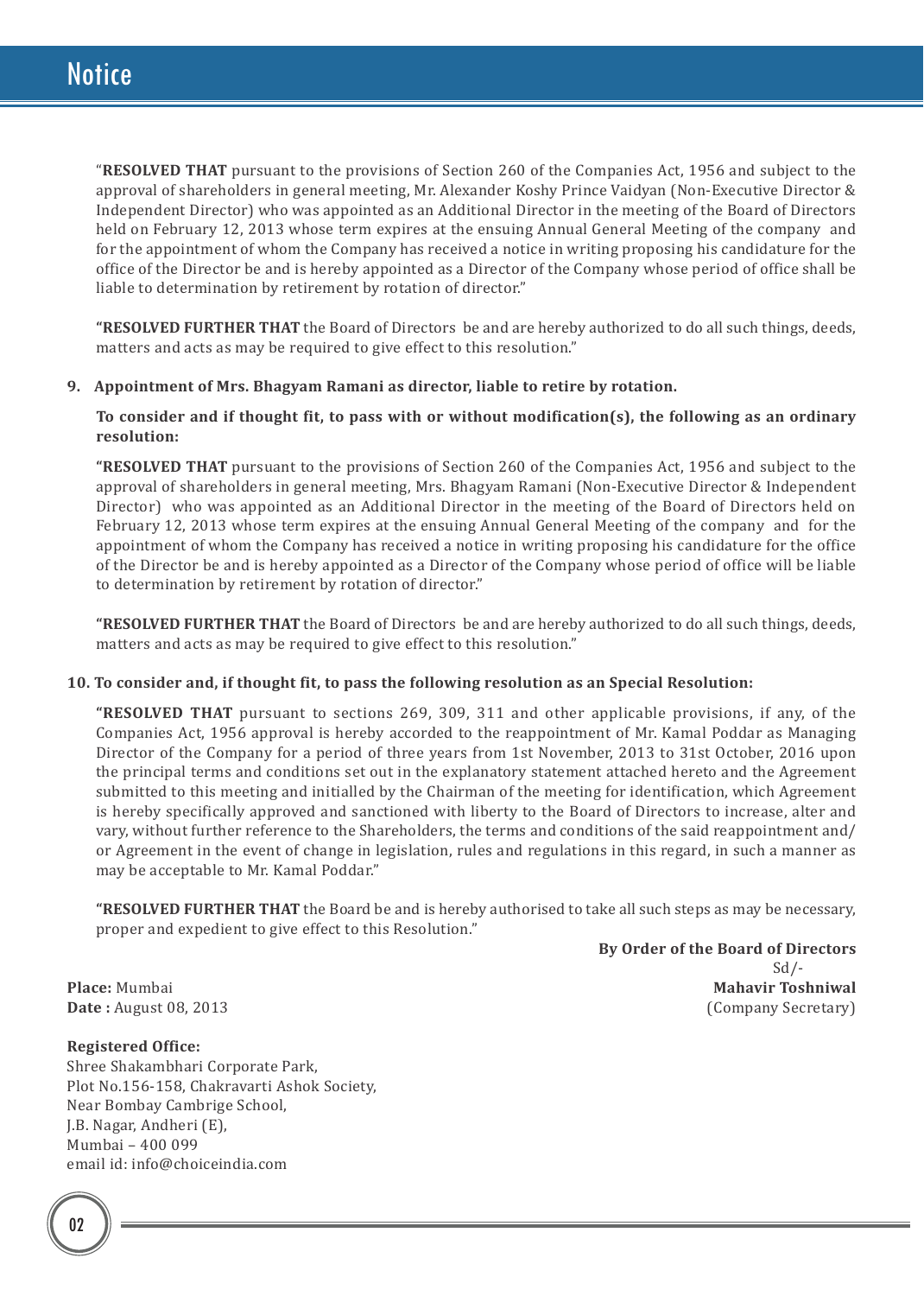"**RESOLVED THAT** pursuant to the provisions of Section 260 of the Companies Act, 1956 and subject to the approval of shareholders in general meeting, Mr. Alexander Koshy Prince Vaidyan (Non-Executive Director & Independent Director) who was appointed as an Additional Director in the meeting of the Board of Directors held on February 12, 2013 whose term expires at the ensuing Annual General Meeting of the company and for the appointment of whom the Company has received a notice in writing proposing his candidature for the office of the Director be and is hereby appointed as a Director of the Company whose period of office shall be liable to determination by retirement by rotation of director."

**"RESOLVED FURTHER THAT** the Board of Directors be and are hereby authorized to do all such things, deeds, matters and acts as may be required to give effect to this resolution."

### **9. Appointment of Mrs. Bhagyam Ramani as director, liable to retire by rotation.**

**To consider and if thought fit, to pass with or without modification(s), the following as an ordinary resolution:**

**"RESOLVED THAT** pursuant to the provisions of Section 260 of the Companies Act, 1956 and subject to the approval of shareholders in general meeting, Mrs. Bhagyam Ramani (Non-Executive Director & Independent Director) who was appointed as an Additional Director in the meeting of the Board of Directors held on February 12, 2013 whose term expires at the ensuing Annual General Meeting of the company and for the appointment of whom the Company has received a notice in writing proposing his candidature for the office of the Director be and is hereby appointed as a Director of the Company whose period of office will be liable to determination by retirement by rotation of director."

**"RESOLVED FURTHER THAT** the Board of Directors be and are hereby authorized to do all such things, deeds, matters and acts as may be required to give effect to this resolution."

#### **10. To consider and, if thought fit, to pass the following resolution as an Special Resolution:**

**"RESOLVED THAT** pursuant to sections 269, 309, 311 and other applicable provisions, if any, of the Companies Act, 1956 approval is hereby accorded to the reappointment of Mr. Kamal Poddar as Managing Director of the Company for a period of three years from 1st November, 2013 to 31st October, 2016 upon the principal terms and conditions set out in the explanatory statement attached hereto and the Agreement submitted to this meeting and initialled by the Chairman of the meeting for identification, which Agreement is hereby specifically approved and sanctioned with liberty to the Board of Directors to increase, alter and vary, without further reference to the Shareholders, the terms and conditions of the said reappointment and/ or Agreement in the event of change in legislation, rules and regulations in this regard, in such a manner as may be acceptable to Mr. Kamal Poddar."

**"RESOLVED FURTHER THAT** the Board be and is hereby authorised to take all such steps as may be necessary, proper and expedient to give effect to this Resolution."

 **By Order of the Board of Directors** Sd/- **Place:** Mumbai **Mahavir Toshniwal Mahavir Toshniwal Mahavir Toshniwal Date**: August 08, 2013

**Date:** August 08, 2013

#### **Registered Office:**

Shree Shakambhari Corporate Park, Plot No.156-158, Chakravarti Ashok Society, Near Bombay Cambrige School, J.B. Nagar, Andheri (E), Mumbai – 400 099 email id: info@choiceindia.com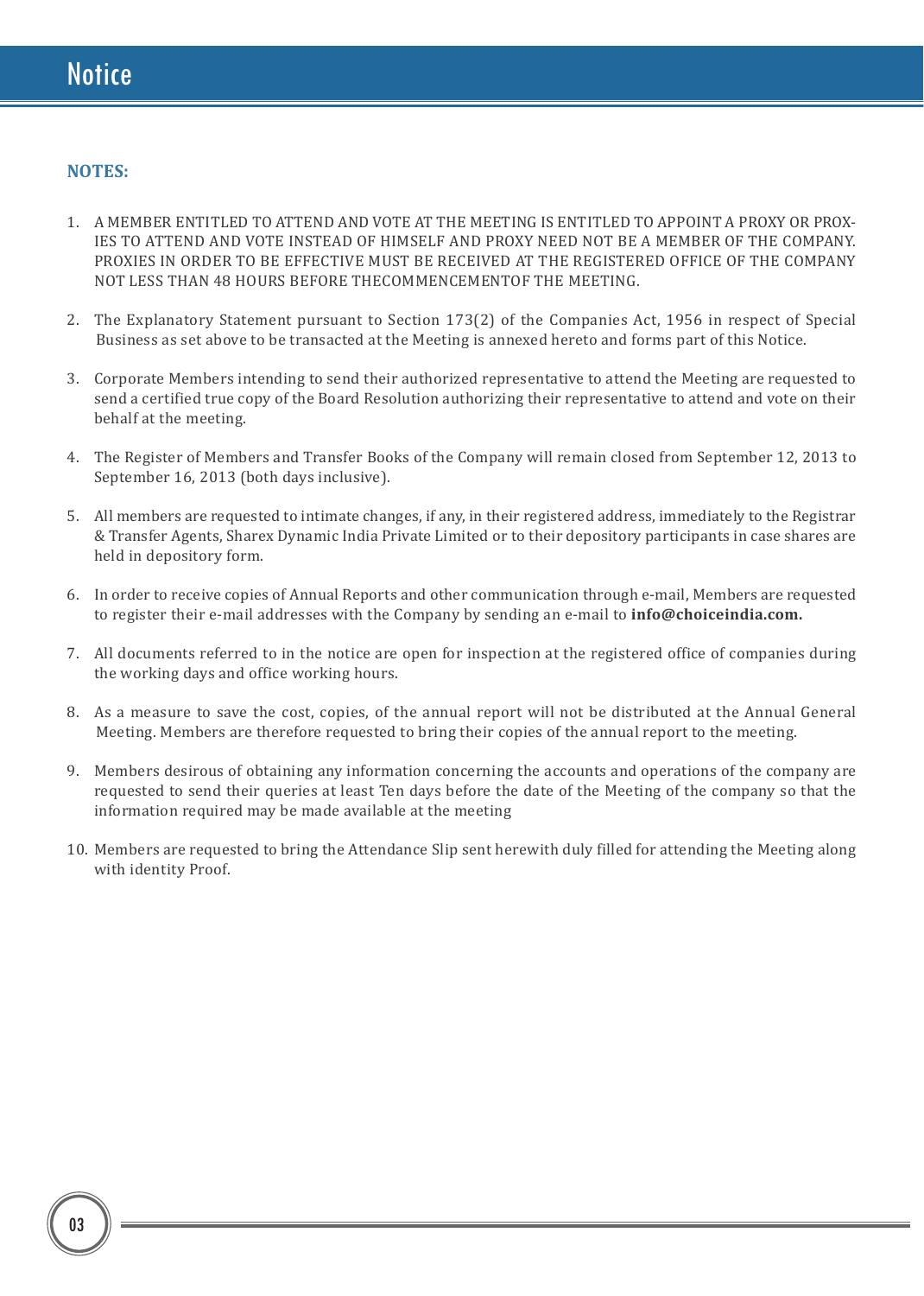## **NOTES:**

- 1. A MEMBER ENTITLED TO ATTEND AND VOTE AT THE MEETING IS ENTITLED TO APPOINT A PROXY OR PROX-IES TO ATTEND AND VOTE INSTEAD OF HIMSELF AND PROXY NEED NOT BE A MEMBER OF THE COMPANY. PROXIES IN ORDER TO BE EFFECTIVE MUST BE RECEIVED AT THE REGISTERED OFFICE OF THE COMPANY NOT LESS THAN 48 HOURS BEFORE THECOMMENCEMENTOF THE MEETING.
- 2. The Explanatory Statement pursuant to Section 173(2) of the Companies Act, 1956 in respect of Special Business as set above to be transacted at the Meeting is annexed hereto and forms part of this Notice.
- 3. Corporate Members intending to send their authorized representative to attend the Meeting are requested to send a certified true copy of the Board Resolution authorizing their representative to attend and vote on their behalf at the meeting.
- 4. The Register of Members and Transfer Books of the Company will remain closed from September 12, 2013 to September 16, 2013 (both days inclusive).
- 5. All members are requested to intimate changes, if any, in their registered address, immediately to the Registrar & Transfer Agents, Sharex Dynamic India Private Limited or to their depository participants in case shares are held in depository form.
- 6. In order to receive copies of Annual Reports and other communication through e-mail, Members are requested to register their e-mail addresses with the Company by sending an e-mail to **info@choiceindia.com.**
- 7. All documents referred to in the notice are open for inspection at the registered office of companies during the working days and office working hours.
- 8. As a measure to save the cost, copies, of the annual report will not be distributed at the Annual General Meeting. Members are therefore requested to bring their copies of the annual report to the meeting.
- 9. Members desirous of obtaining any information concerning the accounts and operations of the company are requested to send their queries at least Ten days before the date of the Meeting of the company so that the information required may be made available at the meeting
- 10. Members are requested to bring the Attendance Slip sent herewith duly filled for attending the Meeting along with identity Proof.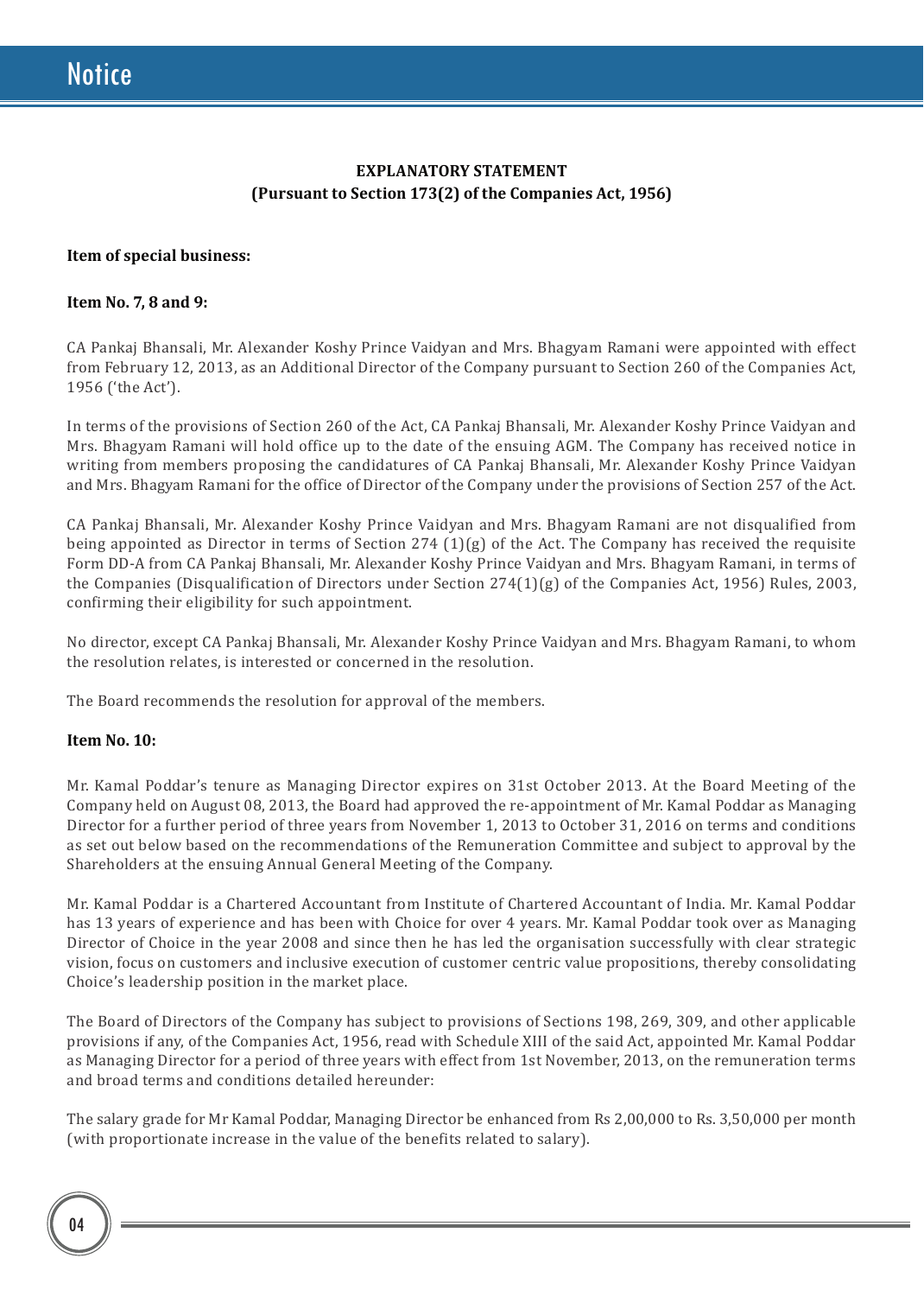## **EXPLANATORY STATEMENT (Pursuant to Section 173(2) of the Companies Act, 1956)**

### **Item of special business:**

#### **Item No. 7, 8 and 9:**

CA Pankaj Bhansali, Mr. Alexander Koshy Prince Vaidyan and Mrs. Bhagyam Ramani were appointed with effect from February 12, 2013, as an Additional Director of the Company pursuant to Section 260 of the Companies Act, 1956 ('the Act').

In terms of the provisions of Section 260 of the Act, CA Pankaj Bhansali, Mr. Alexander Koshy Prince Vaidyan and Mrs. Bhagyam Ramani will hold office up to the date of the ensuing AGM. The Company has received notice in writing from members proposing the candidatures of CA Pankaj Bhansali, Mr. Alexander Koshy Prince Vaidyan and Mrs. Bhagyam Ramani for the office of Director of the Company under the provisions of Section 257 of the Act.

CA Pankaj Bhansali, Mr. Alexander Koshy Prince Vaidyan and Mrs. Bhagyam Ramani are not disqualified from being appointed as Director in terms of Section 274 (1)(g) of the Act. The Company has received the requisite Form DD-A from CA Pankaj Bhansali, Mr. Alexander Koshy Prince Vaidyan and Mrs. Bhagyam Ramani, in terms of the Companies (Disqualification of Directors under Section 274(1)(g) of the Companies Act, 1956) Rules, 2003, confirming their eligibility for such appointment.

No director, except CA Pankaj Bhansali, Mr. Alexander Koshy Prince Vaidyan and Mrs. Bhagyam Ramani, to whom the resolution relates, is interested or concerned in the resolution.

The Board recommends the resolution for approval of the members.

#### **Item No. 10:**

Mr. Kamal Poddar's tenure as Managing Director expires on 31st October 2013. At the Board Meeting of the Company held on August 08, 2013, the Board had approved the re-appointment of Mr. Kamal Poddar as Managing Director for a further period of three years from November 1, 2013 to October 31, 2016 on terms and conditions as set out below based on the recommendations of the Remuneration Committee and subject to approval by the Shareholders at the ensuing Annual General Meeting of the Company.

Mr. Kamal Poddar is a Chartered Accountant from Institute of Chartered Accountant of India. Mr. Kamal Poddar has 13 years of experience and has been with Choice for over 4 years. Mr. Kamal Poddar took over as Managing Director of Choice in the year 2008 and since then he has led the organisation successfully with clear strategic vision, focus on customers and inclusive execution of customer centric value propositions, thereby consolidating Choice's leadership position in the market place.

The Board of Directors of the Company has subject to provisions of Sections 198, 269, 309, and other applicable provisions if any, of the Companies Act, 1956, read with Schedule XIII of the said Act, appointed Mr. Kamal Poddar as Managing Director for a period of three years with effect from 1st November, 2013, on the remuneration terms and broad terms and conditions detailed hereunder:

The salary grade for Mr Kamal Poddar, Managing Director be enhanced from Rs 2,00,000 to Rs. 3,50,000 per month (with proportionate increase in the value of the benefits related to salary).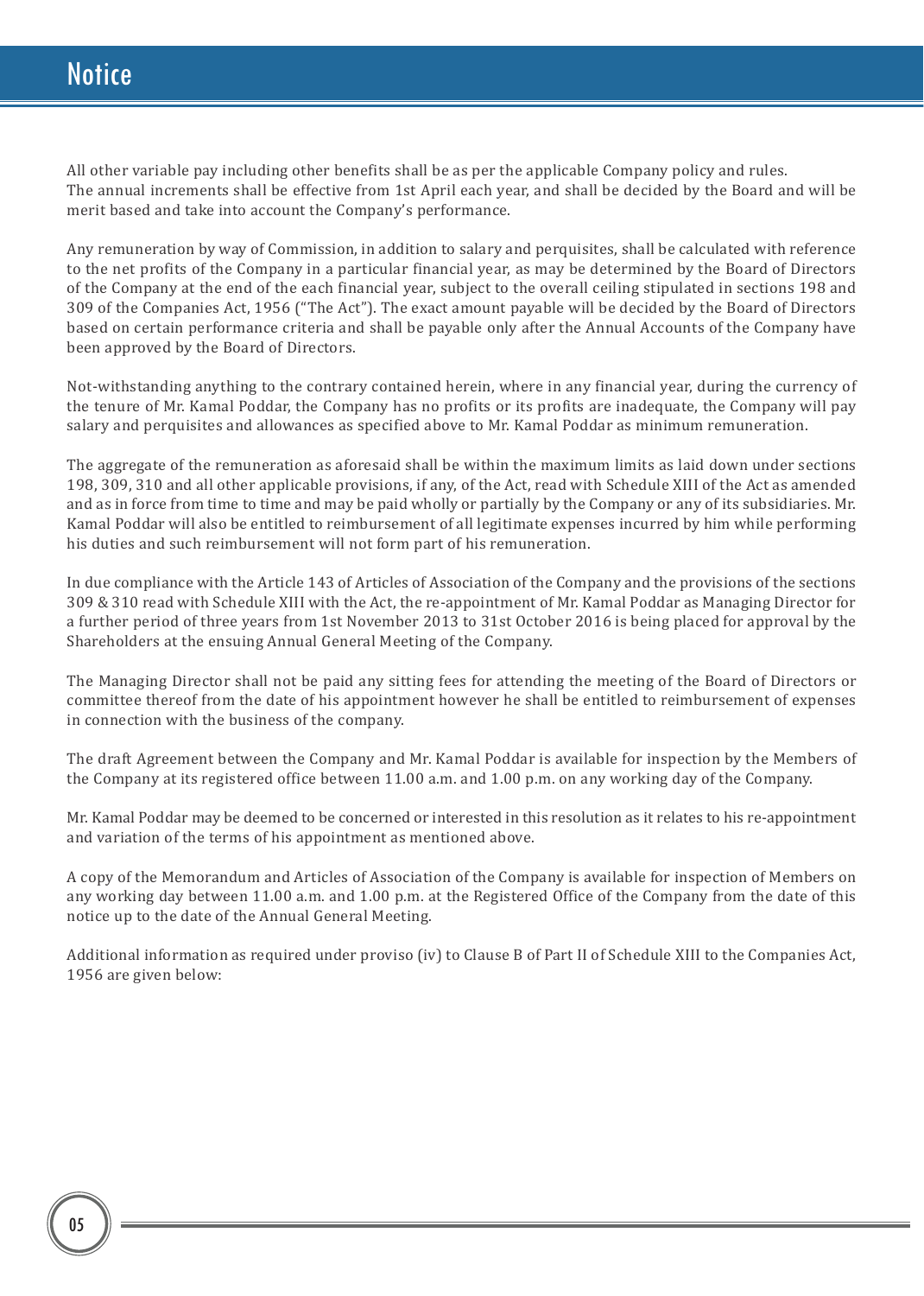All other variable pay including other benefits shall be as per the applicable Company policy and rules. The annual increments shall be effective from 1st April each year, and shall be decided by the Board and will be merit based and take into account the Company's performance.

Any remuneration by way of Commission, in addition to salary and perquisites, shall be calculated with reference to the net profits of the Company in a particular financial year, as may be determined by the Board of Directors of the Company at the end of the each financial year, subject to the overall ceiling stipulated in sections 198 and 309 of the Companies Act, 1956 ("The Act"). The exact amount payable will be decided by the Board of Directors based on certain performance criteria and shall be payable only after the Annual Accounts of the Company have been approved by the Board of Directors.

Not-withstanding anything to the contrary contained herein, where in any financial year, during the currency of the tenure of Mr. Kamal Poddar, the Company has no profits or its profits are inadequate, the Company will pay salary and perquisites and allowances as specified above to Mr. Kamal Poddar as minimum remuneration.

The aggregate of the remuneration as aforesaid shall be within the maximum limits as laid down under sections 198, 309, 310 and all other applicable provisions, if any, of the Act, read with Schedule XIII of the Act as amended and as in force from time to time and may be paid wholly or partially by the Company or any of its subsidiaries. Mr. Kamal Poddar will also be entitled to reimbursement of all legitimate expenses incurred by him while performing his duties and such reimbursement will not form part of his remuneration.

In due compliance with the Article 143 of Articles of Association of the Company and the provisions of the sections 309 & 310 read with Schedule XIII with the Act, the re-appointment of Mr. Kamal Poddar as Managing Director for a further period of three years from 1st November 2013 to 31st October 2016 is being placed for approval by the Shareholders at the ensuing Annual General Meeting of the Company.

The Managing Director shall not be paid any sitting fees for attending the meeting of the Board of Directors or committee thereof from the date of his appointment however he shall be entitled to reimbursement of expenses in connection with the business of the company.

The draft Agreement between the Company and Mr. Kamal Poddar is available for inspection by the Members of the Company at its registered office between 11.00 a.m. and 1.00 p.m. on any working day of the Company.

Mr. Kamal Poddar may be deemed to be concerned or interested in this resolution as it relates to his re-appointment and variation of the terms of his appointment as mentioned above.

A copy of the Memorandum and Articles of Association of the Company is available for inspection of Members on any working day between 11.00 a.m. and 1.00 p.m. at the Registered Office of the Company from the date of this notice up to the date of the Annual General Meeting.

Additional information as required under proviso (iv) to Clause B of Part II of Schedule XIII to the Companies Act, 1956 are given below: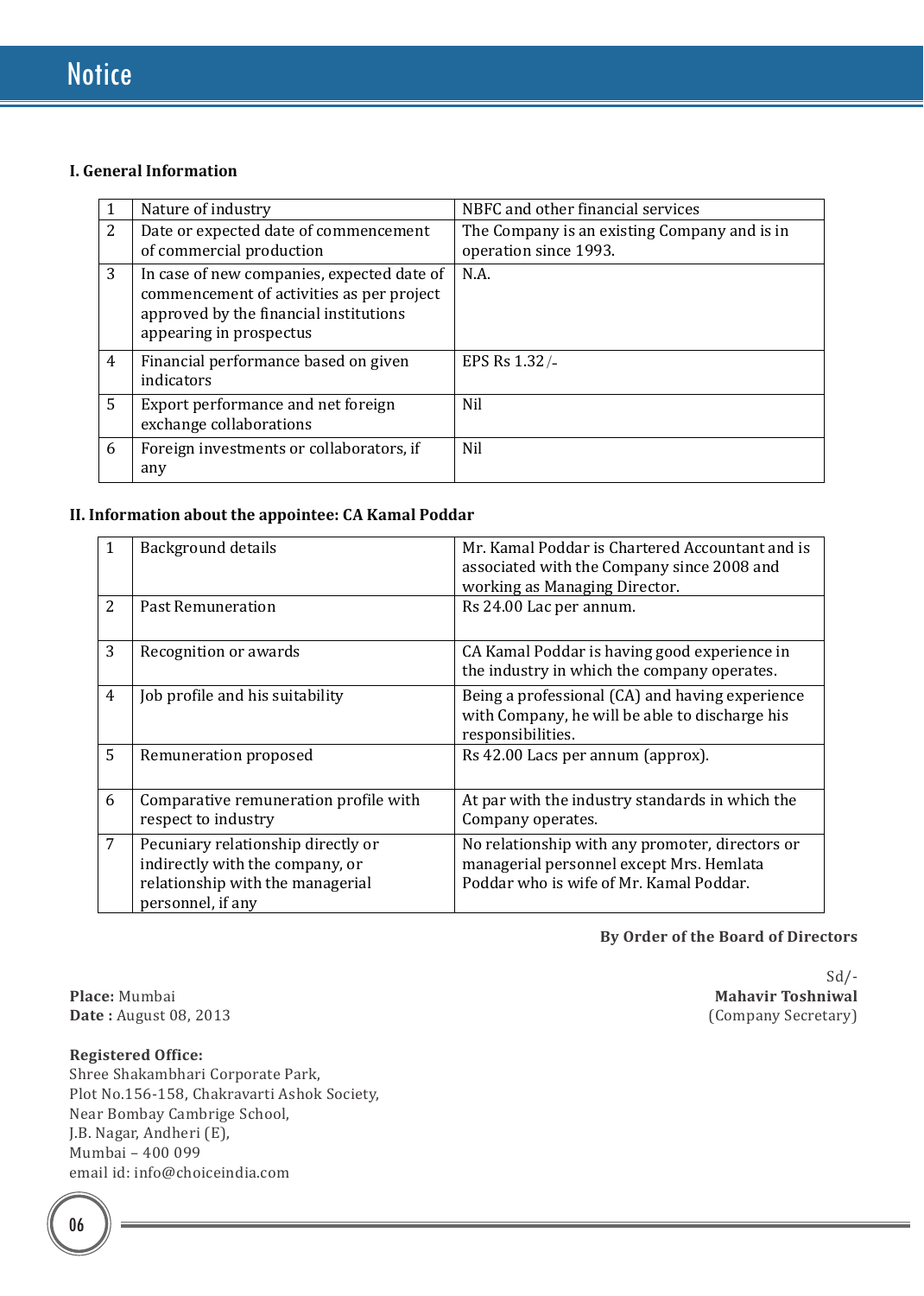## **I. General Information**

|                | Nature of industry                                                                                                                                           | NBFC and other financial services                                     |  |
|----------------|--------------------------------------------------------------------------------------------------------------------------------------------------------------|-----------------------------------------------------------------------|--|
| 2              | Date or expected date of commencement<br>of commercial production                                                                                            | The Company is an existing Company and is in<br>operation since 1993. |  |
| 3              | In case of new companies, expected date of<br>commencement of activities as per project<br>approved by the financial institutions<br>appearing in prospectus | N.A.                                                                  |  |
| $\overline{4}$ | Financial performance based on given<br>indicators                                                                                                           | EPS Rs 1.32/-                                                         |  |
| 5              | Export performance and net foreign<br>exchange collaborations                                                                                                | Nil                                                                   |  |
| 6              | Foreign investments or collaborators, if<br>any                                                                                                              | <b>Nil</b>                                                            |  |

## **II. Information about the appointee: CA Kamal Poddar**

| 1              | <b>Background details</b>                                                                                                      | Mr. Kamal Poddar is Chartered Accountant and is<br>associated with the Company since 2008 and<br>working as Managing Director.         |
|----------------|--------------------------------------------------------------------------------------------------------------------------------|----------------------------------------------------------------------------------------------------------------------------------------|
| 2              | <b>Past Remuneration</b>                                                                                                       | Rs 24.00 Lac per annum.                                                                                                                |
| 3              | Recognition or awards                                                                                                          | CA Kamal Poddar is having good experience in<br>the industry in which the company operates.                                            |
| $\overline{4}$ | Job profile and his suitability                                                                                                | Being a professional (CA) and having experience<br>with Company, he will be able to discharge his<br>responsibilities.                 |
| 5              | Remuneration proposed                                                                                                          | Rs 42.00 Lacs per annum (approx).                                                                                                      |
| 6              | Comparative remuneration profile with<br>respect to industry                                                                   | At par with the industry standards in which the<br>Company operates.                                                                   |
| 7              | Pecuniary relationship directly or<br>indirectly with the company, or<br>relationship with the managerial<br>personnel, if any | No relationship with any promoter, directors or<br>managerial personnel except Mrs. Hemlata<br>Poddar who is wife of Mr. Kamal Poddar. |

## **By Order of the Board of Directors**

**Place:** Mumbai **Mahavir Toshniwal Mahavir Toshniwal Date**: August 08, 2013 (Company Secretary) **Date:** August 08, 2013

## **Registered Office:**

Shree Shakambhari Corporate Park, Plot No.156-158, Chakravarti Ashok Society, Near Bombay Cambrige School, J.B. Nagar, Andheri (E), Mumbai – 400 099 email id: info@choiceindia.com

Sd/-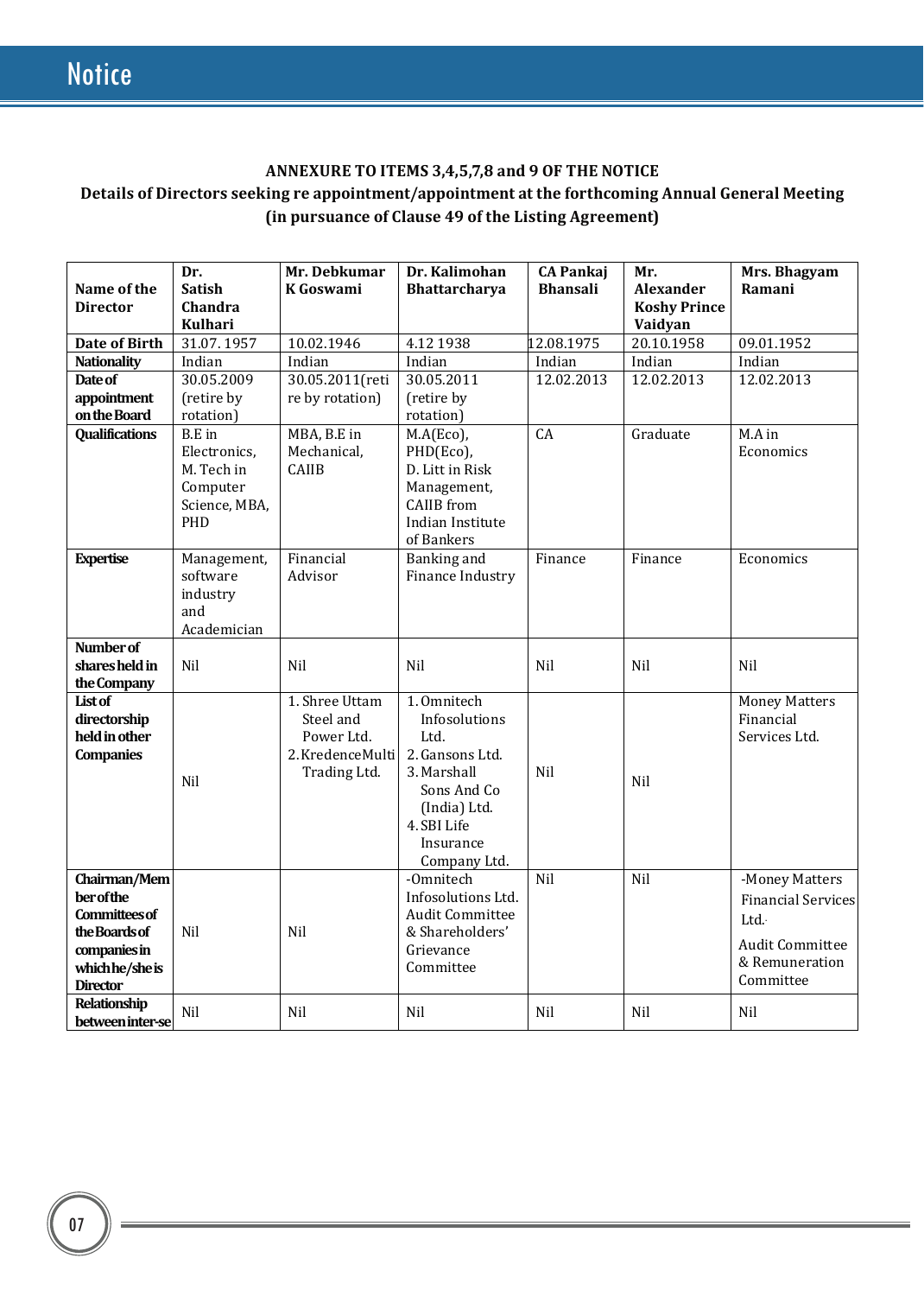## **ANNEXURE TO ITEMS 3,4,5,7,8 and 9 OF THE NOTICE Details of Directors seeking re appointment/appointment at the forthcoming Annual General Meeting (in pursuance of Clause 49 of the Listing Agreement)**

| Name of the<br><b>Director</b>     | Dr.<br><b>Satish</b><br>Chandra<br><b>Kulhari</b> | Mr. Debkumar<br><b>K</b> Goswami | Dr. Kalimohan<br><b>Bhattarcharya</b> | <b>CA Pankaj</b><br><b>Bhansali</b> | Mr.<br><b>Alexander</b><br><b>Koshy Prince</b><br>Vaidyan | Mrs. Bhagyam<br>Ramani    |
|------------------------------------|---------------------------------------------------|----------------------------------|---------------------------------------|-------------------------------------|-----------------------------------------------------------|---------------------------|
| <b>Date of Birth</b>               | 31.07.1957                                        | 10.02.1946                       | 4.12 1938                             | 12.08.1975                          | 20.10.1958                                                | 09.01.1952                |
| <b>Nationality</b>                 | Indian                                            | Indian                           | Indian                                | Indian                              | Indian                                                    | Indian                    |
| Date of                            | 30.05.2009                                        | 30.05.2011(reti                  | 30.05.2011                            | 12.02.2013                          | 12.02.2013                                                | 12.02.2013                |
| appointment                        | (retire by                                        | re by rotation)                  | (retire by                            |                                     |                                                           |                           |
| on the Board                       | rotation)                                         |                                  | rotation)                             |                                     |                                                           |                           |
| <b>Qualifications</b>              | <b>B.E</b> in                                     | MBA, B.E in                      | M.A(Eco),                             | $\overline{CA}$                     | Graduate                                                  | M.A in                    |
|                                    | Electronics,                                      | Mechanical,                      | PHD(Eco),                             |                                     |                                                           | Economics                 |
|                                    | M. Tech in                                        | <b>CAIIB</b>                     | D. Litt in Risk                       |                                     |                                                           |                           |
|                                    | Computer                                          |                                  | Management,                           |                                     |                                                           |                           |
|                                    | Science, MBA,                                     |                                  | <b>CAIIB</b> from                     |                                     |                                                           |                           |
|                                    | PHD                                               |                                  | Indian Institute                      |                                     |                                                           |                           |
|                                    |                                                   |                                  | of Bankers                            |                                     |                                                           |                           |
| <b>Expertise</b>                   | Management,                                       | Financial                        | Banking and                           | Finance                             | Finance                                                   | Economics                 |
|                                    | software                                          | Advisor                          | Finance Industry                      |                                     |                                                           |                           |
|                                    | industry<br>and                                   |                                  |                                       |                                     |                                                           |                           |
|                                    | Academician                                       |                                  |                                       |                                     |                                                           |                           |
| Number of                          |                                                   |                                  |                                       |                                     |                                                           |                           |
| shares held in                     | Nil                                               | Nil                              | Nil                                   | <b>Nil</b>                          | Nil                                                       | Nil                       |
| the Company                        |                                                   |                                  |                                       |                                     |                                                           |                           |
| List of                            |                                                   | 1. Shree Uttam                   | 1.0mnitech                            |                                     |                                                           | <b>Money Matters</b>      |
| directorship                       |                                                   | Steel and                        | Infosolutions                         |                                     |                                                           | Financial                 |
| held in other                      |                                                   | Power Ltd.                       | Ltd.                                  |                                     |                                                           | Services Ltd.             |
| <b>Companies</b>                   |                                                   | 2. KredenceMulti                 | 2. Gansons Ltd.                       |                                     |                                                           |                           |
|                                    | Nil                                               | Trading Ltd.                     | 3. Marshall                           | <b>Nil</b>                          | Nil                                                       |                           |
|                                    |                                                   |                                  | Sons And Co                           |                                     |                                                           |                           |
|                                    |                                                   |                                  | (India) Ltd.                          |                                     |                                                           |                           |
|                                    |                                                   |                                  | 4. SBI Life                           |                                     |                                                           |                           |
|                                    |                                                   |                                  | Insurance                             |                                     |                                                           |                           |
|                                    |                                                   |                                  | Company Ltd.                          |                                     |                                                           |                           |
| Chairman/Mem                       |                                                   |                                  | -Omnitech                             | Nil                                 | Nil                                                       | -Money Matters            |
| <b>ber</b> of the                  |                                                   |                                  | Infosolutions Ltd.                    |                                     |                                                           | <b>Financial Services</b> |
| <b>Committees of</b>               |                                                   |                                  | <b>Audit Committee</b>                |                                     |                                                           | Ltd.                      |
| the Boards of                      | Nil                                               | Nil                              | & Shareholders'                       |                                     |                                                           | <b>Audit Committee</b>    |
| companies in                       |                                                   |                                  | Grievance                             |                                     |                                                           | & Remuneration            |
| which he/she is<br><b>Director</b> |                                                   |                                  | Committee                             |                                     |                                                           | Committee                 |
| Relationship                       |                                                   |                                  |                                       |                                     |                                                           |                           |
| between inter-se                   | Nil                                               | Nil                              | Nil                                   | Nil                                 | Nil                                                       | Nil                       |
|                                    |                                                   |                                  |                                       |                                     |                                                           |                           |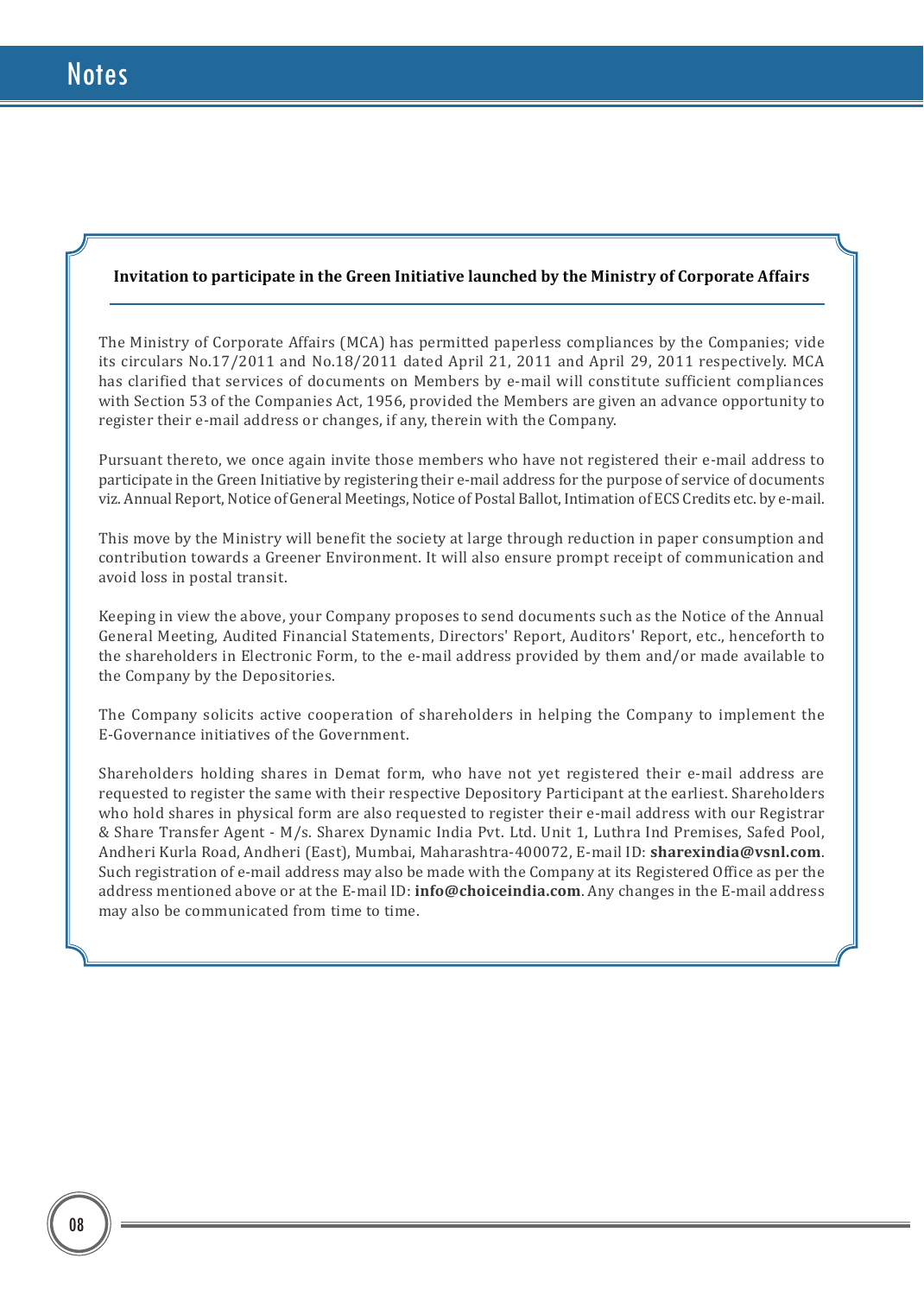## **Invitation to participate in the Green Initiative launched by the Ministry of Corporate Affairs**

The Ministry of Corporate Affairs (MCA) has permitted paperless compliances by the Companies; vide its circulars No.17/2011 and No.18/2011 dated April 21, 2011 and April 29, 2011 respectively. MCA has clarified that services of documents on Members by e-mail will constitute sufficient compliances with Section 53 of the Companies Act, 1956, provided the Members are given an advance opportunity to register their e-mail address or changes, if any, therein with the Company.

Pursuant thereto, we once again invite those members who have not registered their e-mail address to participate in the Green Initiative by registering their e-mail address for the purpose of service of documents viz. Annual Report, Notice of General Meetings, Notice of Postal Ballot, Intimation of ECS Credits etc. by e-mail.

This move by the Ministry will benefit the society at large through reduction in paper consumption and contribution towards a Greener Environment. It will also ensure prompt receipt of communication and avoid loss in postal transit.

Keeping in view the above, your Company proposes to send documents such as the Notice of the Annual General Meeting, Audited Financial Statements, Directors' Report, Auditors' Report, etc., henceforth to the shareholders in Electronic Form, to the e-mail address provided by them and/or made available to the Company by the Depositories.

The Company solicits active cooperation of shareholders in helping the Company to implement the E-Governance initiatives of the Government.

Shareholders holding shares in Demat form, who have not yet registered their e-mail address are requested to register the same with their respective Depository Participant at the earliest. Shareholders who hold shares in physical form are also requested to register their e-mail address with our Registrar & Share Transfer Agent - M/s. Sharex Dynamic India Pvt. Ltd. Unit 1, Luthra Ind Premises, Safed Pool, Andheri Kurla Road, Andheri (East), Mumbai, Maharashtra-400072, E-mail ID: **sharexindia@vsnl.com**. Such registration of e-mail address may also be made with the Company at its Registered Office as per the address mentioned above or at the E-mail ID: **info@choiceindia.com**. Any changes in the E-mail address may also be communicated from time to time.